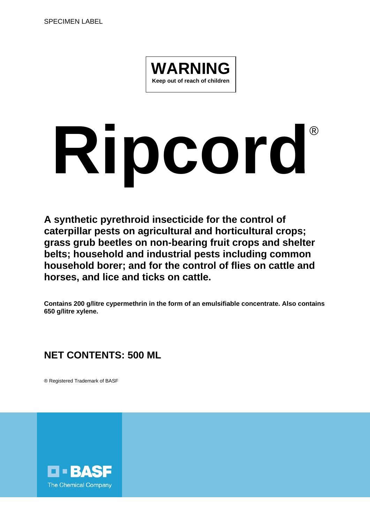

# **Ripcord**®

**A synthetic pyrethroid insecticide for the control of caterpillar pests on agricultural and horticultural crops; grass grub beetles on non-bearing fruit crops and shelter belts; household and industrial pests including common household borer; and for the control of flies on cattle and horses, and lice and ticks on cattle.**

**Contains 200 g/litre cypermethrin in the form of an emulsifiable concentrate. Also contains 650 g/litre xylene.**

# **NET CONTENTS: 500 ML**

® Registered Trademark of BASF

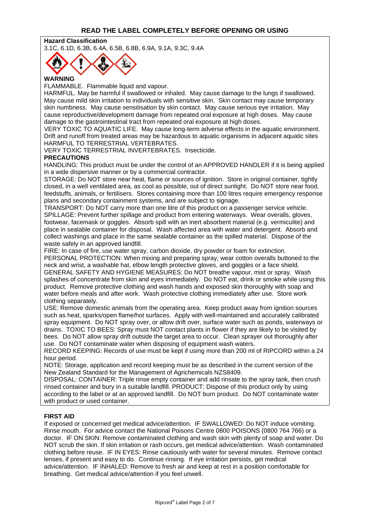### **Hazard Classification**

3.1C, 6.1D, 6.3B, 6.4A, 6.5B, 6.8B, 6.9A, 9.1A, 9.3C, 9.4A



### **WARNING**

FLAMMABLE. Flammable liquid and vapour.

HARMFUL. May be harmful if swallowed or inhaled. May cause damage to the lungs if swallowed. May cause mild skin irritation to individuals with sensitive skin. Skin contact may cause temporary skin numbness. May cause sensitisation by skin contact. May cause serious eye irritation. May cause reproductive/development damage from repeated oral exposure at high doses. May cause damage to the gastrointestinal tract from repeated oral exposure at high doses.

VERY TOXIC TO AQUATIC LIFE. May cause long-term adverse effects in the aquatic environment. Drift and runoff from treated areas may be hazardous to aquatic organisms in adjacent aquatic sites HARMFUL TO TERRESTRIAL VERTEBRATES.

VERY TOXIC TERRESTRIAL INVERTEBRATES. Insecticide.

### **PRECAUTIONS**

HANDLING: This product must be under the control of an APPROVED HANDLER if it is being applied in a wide dispersive manner or by a commercial contractor.

STORAGE: Do NOT store near heat, flame or sources of ignition. Store in original container, tightly closed, in a well ventilated area, as cool as possible, out of direct sunlight. Do NOT store near food, feedstuffs, animals, or fertilisers. Stores containing more than 100 litres require emergency response plans and secondary containment systems, and are subject to signage.

TRANSPORT: Do NOT carry more than one litre of this product on a passenger service vehicle. SPILLAGE: Prevent further spillage and product from entering waterways. Wear overalls, gloves, footwear, facemask or goggles. Absorb spill with an inert absorbent material (e.g. vermiculite) and place in sealable container for disposal. Wash affected area with water and detergent. Absorb and collect washings and place in the same sealable container as the spilled material. Dispose of the waste safely in an approved landfill.

FIRE: In case of fire, use water spray, carbon dioxide, dry powder or foam for extinction. PERSONAL PROTECTION: When mixing and preparing spray, wear cotton overalls buttoned to the neck and wrist, a washable hat, elbow length protective gloves, and goggles or a face shield. GENERAL SAFETY AND HYGIENE MEASURES: Do NOT breathe vapour, mist or spray. Wash splashes of concentrate from skin and eyes immediately. Do NOT eat, drink or smoke while using this product. Remove protective clothing and wash hands and exposed skin thoroughly with soap and water before meals and after work. Wash protective clothing immediately after use. Store work clothing separately.

USE: Remove domestic animals from the operating area. Keep product away from ignition sources such as heat, sparks/open flame/hot surfaces. Apply with well-maintained and accurately calibrated spray equipment. Do NOT spray over, or allow drift over, surface water such as ponds, waterways or drains. TOXIC TO BEES: Spray must NOT contact plants in flower if they are likely to be visited by bees. Do NOT allow spray drift outside the target area to occur. Clean sprayer out thoroughly after use. Do NOT contaminate water when disposing of equipment wash waters.

RECORD KEEPING: Records of use must be kept if using more than 200 ml of RIPCORD within a 24 hour period.

NOTE: Storage, application and record keeping must be as described in the current version of the New Zealand Standard for the Management of Agrichemicals NZS8409.

DISPOSAL: CONTAINER: Triple rinse empty container and add rinsate to the spray tank, then crush rinsed container and bury in a suitable landfill. PRODUCT: Dispose of this product only by using according to the label or at an approved landfill. Do NOT burn product. Do NOT contaminate water with product or used container.

# **FIRST AID**

If exposed or concerned get medical advice/attention. IF SWALLOWED: Do NOT induce vomiting. Rinse mouth. For advice contact the National Poisons Centre 0800 POISONS (0800 764 766) or a doctor. IF ON SKIN: Remove contaminated clothing and wash skin with plenty of soap and water. Do NOT scrub the skin. If skin irritation or rash occurs, get medical advice/attention. Wash contaminated clothing before reuse. IF IN EYES: Rinse cautiously with water for several minutes. Remove contact lenses, if present and easy to do. Continue rinsing. If eye irritation persists, get medical advice/attention. IF INHALED: Remove to fresh air and keep at rest in a position comfortable for breathing. Get medical advice/attention if you feel unwell.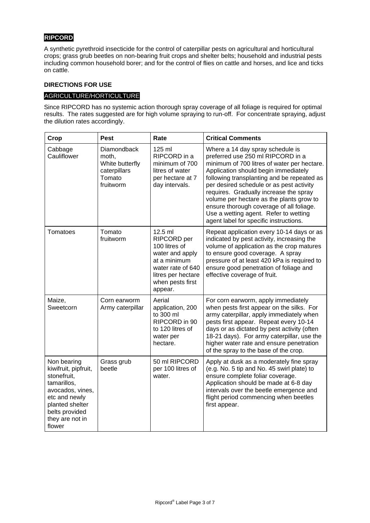# **RIPCORD**

A synthetic pyrethroid insecticide for the control of caterpillar pests on agricultural and horticultural crops; grass grub beetles on non-bearing fruit crops and shelter belts; household and industrial pests including common household borer; and for the control of flies on cattle and horses, and lice and ticks on cattle.

# **DIRECTIONS FOR USE**

# AGRICULTURE/HORTICULTURE

Since RIPCORD has no systemic action thorough spray coverage of all foliage is required for optimal results. The rates suggested are for high volume spraying to run-off. For concentrate spraying, adjust the dilution rates accordingly.

| Crop                                                                                                                                                                     | <b>Pest</b>                                                                           | Rate                                                                                                                                                 | <b>Critical Comments</b>                                                                                                                                                                                                                                                                                                                                                                                                                                                    |
|--------------------------------------------------------------------------------------------------------------------------------------------------------------------------|---------------------------------------------------------------------------------------|------------------------------------------------------------------------------------------------------------------------------------------------------|-----------------------------------------------------------------------------------------------------------------------------------------------------------------------------------------------------------------------------------------------------------------------------------------------------------------------------------------------------------------------------------------------------------------------------------------------------------------------------|
| Cabbage<br>Cauliflower                                                                                                                                                   | <b>Diamondback</b><br>moth,<br>White butterfly<br>caterpillars<br>Tomato<br>fruitworm | 125 ml<br>RIPCORD in a<br>minimum of 700<br>litres of water<br>per hectare at 7<br>day intervals.                                                    | Where a 14 day spray schedule is<br>preferred use 250 ml RIPCORD in a<br>minimum of 700 litres of water per hectare.<br>Application should begin immediately<br>following transplanting and be repeated as<br>per desired schedule or as pest activity<br>requires. Gradually increase the spray<br>volume per hectare as the plants grow to<br>ensure thorough coverage of all foliage.<br>Use a wetting agent. Refer to wetting<br>agent label for specific instructions. |
| Tomatoes                                                                                                                                                                 | Tomato<br>fruitworm                                                                   | 12.5 ml<br>RIPCORD per<br>100 litres of<br>water and apply<br>at a minimum<br>water rate of 640<br>litres per hectare<br>when pests first<br>appear. | Repeat application every 10-14 days or as<br>indicated by pest activity, increasing the<br>volume of application as the crop matures<br>to ensure good coverage. A spray<br>pressure of at least 420 kPa is required to<br>ensure good penetration of foliage and<br>effective coverage of fruit.                                                                                                                                                                           |
| Maize,<br>Sweetcorn                                                                                                                                                      | Corn earworm<br>Army caterpillar                                                      | Aerial<br>application, 200<br>to 300 ml<br>RIPCORD in 90<br>to 120 litres of<br>water per<br>hectare.                                                | For corn earworm, apply immediately<br>when pests first appear on the silks. For<br>army caterpillar, apply immediately when<br>pests first appear. Repeat every 10-14<br>days or as dictated by pest activity (often<br>18-21 days). For army caterpillar, use the<br>higher water rate and ensure penetration<br>of the spray to the base of the crop.                                                                                                                    |
| Non bearing<br>kiwifruit, pipfruit,<br>stonefruit,<br>tamarillos,<br>avocados, vines,<br>etc and newly<br>planted shelter<br>belts provided<br>they are not in<br>flower | Grass grub<br>beetle                                                                  | 50 ml RIPCORD<br>per 100 litres of<br>water.                                                                                                         | Apply at dusk as a moderately fine spray<br>(e.g. No. 5 tip and No. 45 swirl plate) to<br>ensure complete foliar coverage.<br>Application should be made at 6-8 day<br>intervals over the beetle emergence and<br>flight period commencing when beetles<br>first appear.                                                                                                                                                                                                    |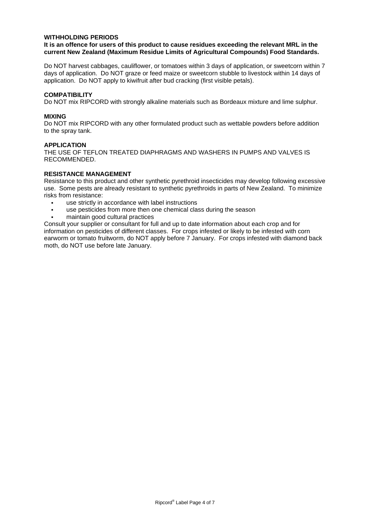### **WITHHOLDING PERIODS**

### **It is an offence for users of this product to cause residues exceeding the relevant MRL in the current New Zealand (Maximum Residue Limits of Agricultural Compounds) Food Standards.**

Do NOT harvest cabbages, cauliflower, or tomatoes within 3 days of application, or sweetcorn within 7 days of application. Do NOT graze or feed maize or sweetcorn stubble to livestock within 14 days of application. Do NOT apply to kiwifruit after bud cracking (first visible petals).

### **COMPATIBILITY**

Do NOT mix RIPCORD with strongly alkaline materials such as Bordeaux mixture and lime sulphur.

### **MIXING**

Do NOT mix RIPCORD with any other formulated product such as wettable powders before addition to the spray tank.

### **APPLICATION**

THE USE OF TEFLON TREATED DIAPHRAGMS AND WASHERS IN PUMPS AND VALVES IS RECOMMENDED.

### **RESISTANCE MANAGEMENT**

Resistance to this product and other synthetic pyrethroid insecticides may develop following excessive use. Some pests are already resistant to synthetic pyrethroids in parts of New Zealand. To minimize risks from resistance:

- use strictly in accordance with label instructions
- use pesticides from more then one chemical class during the season
	- maintain good cultural practices

Consult your supplier or consultant for full and up to date information about each crop and for information on pesticides of different classes. For crops infested or likely to be infested with corn earworm or tomato fruitworm, do NOT apply before 7 January. For crops infested with diamond back moth, do NOT use before late January.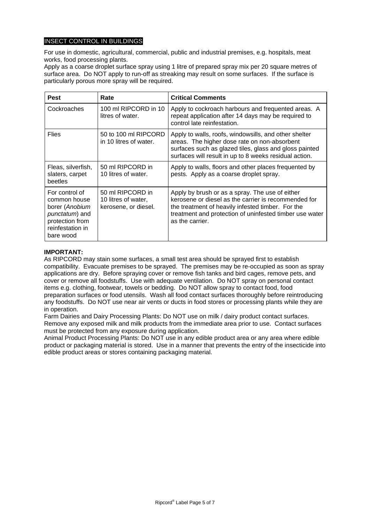# INSECT CONTROL IN BUILDINGS

For use in domestic, agricultural, commercial, public and industrial premises, e.g. hospitals, meat works, food processing plants.

Apply as a coarse droplet surface spray using 1 litre of prepared spray mix per 20 square metres of surface area. Do NOT apply to run-off as streaking may result on some surfaces. If the surface is particularly porous more spray will be required.

| <b>Pest</b>                                                                                                            | Rate                                                            | <b>Critical Comments</b>                                                                                                                                                                                                                   |
|------------------------------------------------------------------------------------------------------------------------|-----------------------------------------------------------------|--------------------------------------------------------------------------------------------------------------------------------------------------------------------------------------------------------------------------------------------|
| Cockroaches                                                                                                            | 100 ml RIPCORD in 10<br>litres of water.                        | Apply to cockroach harbours and frequented areas. A<br>repeat application after 14 days may be required to<br>control late reinfestation.                                                                                                  |
| <b>Flies</b>                                                                                                           | 50 to 100 ml RIPCORD<br>in 10 litres of water.                  | Apply to walls, roofs, windowsills, and other shelter<br>areas. The higher dose rate on non-absorbent<br>surfaces such as glazed tiles, glass and gloss painted<br>surfaces will result in up to 8 weeks residual action.                  |
| Fleas, silverfish,<br>slaters, carpet<br>beetles                                                                       | 50 ml RIPCORD in<br>10 litres of water.                         | Apply to walls, floors and other places frequented by<br>pests. Apply as a coarse droplet spray.                                                                                                                                           |
| For control of<br>common house<br>borer (Anobium<br>punctatum) and<br>protection from<br>reinfestation in<br>bare wood | 50 ml RIPCORD in<br>10 litres of water,<br>kerosene, or diesel. | Apply by brush or as a spray. The use of either<br>kerosene or diesel as the carrier is recommended for<br>the treatment of heavily infested timber. For the<br>treatment and protection of uninfested timber use water<br>as the carrier. |

# **IMPORTANT:**

As RIPCORD may stain some surfaces, a small test area should be sprayed first to establish compatibility. Evacuate premises to be sprayed. The premises may be re-occupied as soon as spray applications are dry. Before spraying cover or remove fish tanks and bird cages, remove pets, and cover or remove all foodstuffs. Use with adequate ventilation. Do NOT spray on personal contact items e.g. clothing, footwear, towels or bedding. Do NOT allow spray to contact food, food preparation surfaces or food utensils. Wash all food contact surfaces thoroughly before reintroducing any foodstuffs. Do NOT use near air vents or ducts in food stores or processing plants while they are in operation.

Farm Dairies and Dairy Processing Plants: Do NOT use on milk / dairy product contact surfaces. Remove any exposed milk and milk products from the immediate area prior to use. Contact surfaces must be protected from any exposure during application.

Animal Product Processing Plants: Do NOT use in any edible product area or any area where edible product or packaging material is stored. Use in a manner that prevents the entry of the insecticide into edible product areas or stores containing packaging material.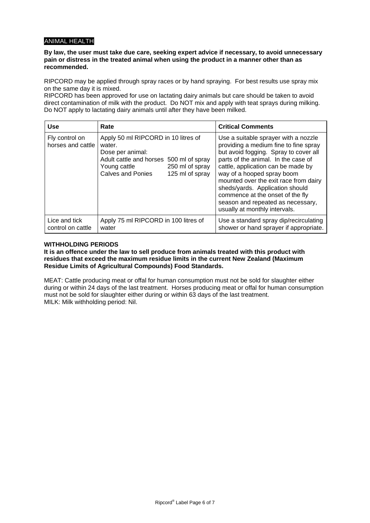# ANIMAL HEALTH

### **By law, the user must take due care, seeking expert advice if necessary, to avoid unnecessary pain or distress in the treated animal when using the product in a manner other than as recommended.**

RIPCORD may be applied through spray races or by hand spraying. For best results use spray mix on the same day it is mixed.

RIPCORD has been approved for use on lactating dairy animals but care should be taken to avoid direct contamination of milk with the product. Do NOT mix and apply with teat sprays during milking. Do NOT apply to lactating dairy animals until after they have been milked.

| <b>Use</b>                          | Rate                                                                                                                                                                                           | <b>Critical Comments</b>                                                                                                                                                                                                                                                                                                                                                                                                |
|-------------------------------------|------------------------------------------------------------------------------------------------------------------------------------------------------------------------------------------------|-------------------------------------------------------------------------------------------------------------------------------------------------------------------------------------------------------------------------------------------------------------------------------------------------------------------------------------------------------------------------------------------------------------------------|
| Fly control on<br>horses and cattle | Apply 50 ml RIPCORD in 10 litres of<br>water.<br>Dose per animal:<br>Adult cattle and horses 500 ml of spray<br>250 ml of spray<br>Young cattle<br><b>Calves and Ponies</b><br>125 ml of spray | Use a suitable sprayer with a nozzle<br>providing a medium fine to fine spray<br>but avoid fogging. Spray to cover all<br>parts of the animal. In the case of<br>cattle, application can be made by<br>way of a hooped spray boom<br>mounted over the exit race from dairy<br>sheds/yards. Application should<br>commence at the onset of the fly<br>season and repeated as necessary,<br>usually at monthly intervals. |
| Lice and tick<br>control on cattle  | Apply 75 ml RIPCORD in 100 litres of<br>water                                                                                                                                                  | Use a standard spray dip/recirculating<br>shower or hand sprayer if appropriate.                                                                                                                                                                                                                                                                                                                                        |

# **WITHHOLDING PERIODS**

### **It is an offence under the law to sell produce from animals treated with this product with residues that exceed the maximum residue limits in the current New Zealand (Maximum Residue Limits of Agricultural Compounds) Food Standards.**

MEAT: Cattle producing meat or offal for human consumption must not be sold for slaughter either during or within 24 days of the last treatment. Horses producing meat or offal for human consumption must not be sold for slaughter either during or within 63 days of the last treatment. MILK: Milk withholding period: Nil.